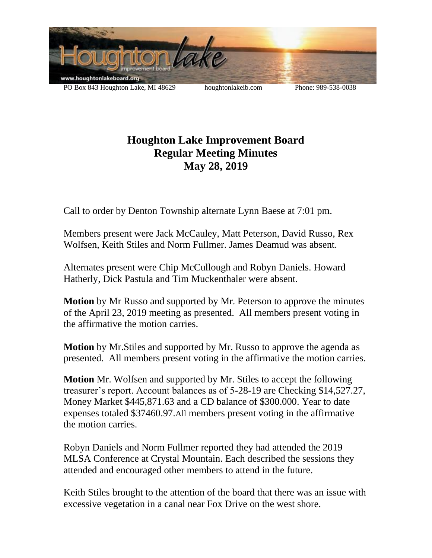

## **Houghton Lake Improvement Board Regular Meeting Minutes May 28, 2019**

Call to order by Denton Township alternate Lynn Baese at 7:01 pm.

Members present were Jack McCauley, Matt Peterson, David Russo, Rex Wolfsen, Keith Stiles and Norm Fullmer. James Deamud was absent.

Alternates present were Chip McCullough and Robyn Daniels. Howard Hatherly, Dick Pastula and Tim Muckenthaler were absent.

**Motion** by Mr Russo and supported by Mr. Peterson to approve the minutes of the April 23, 2019 meeting as presented. All members present voting in the affirmative the motion carries.

**Motion** by Mr.Stiles and supported by Mr. Russo to approve the agenda as presented. All members present voting in the affirmative the motion carries.

**Motion** Mr. Wolfsen and supported by Mr. Stiles to accept the following treasurer's report. Account balances as of 5-28-19 are Checking \$14,527.27, Money Market \$445,871.63 and a CD balance of \$300.000. Year to date expenses totaled \$37460.97.All members present voting in the affirmative the motion carries.

Robyn Daniels and Norm Fullmer reported they had attended the 2019 MLSA Conference at Crystal Mountain. Each described the sessions they attended and encouraged other members to attend in the future.

Keith Stiles brought to the attention of the board that there was an issue with excessive vegetation in a canal near Fox Drive on the west shore.